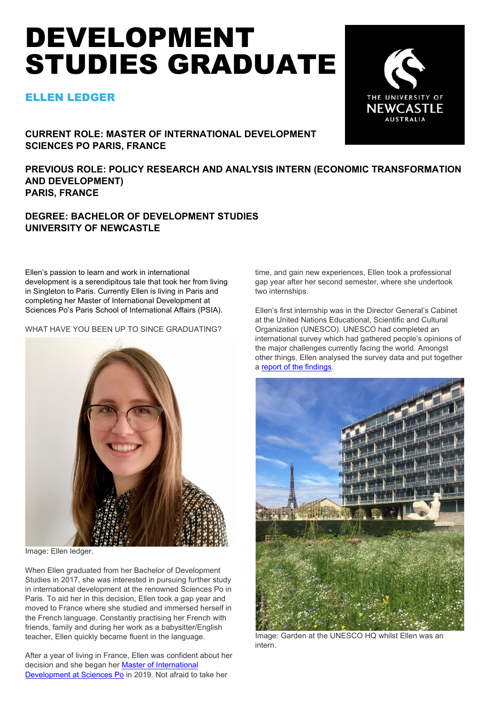# DEVELOPMENT STUDIES GRADUATE

# ELLEN LEDGER



**CURRENT ROLE: MASTER OF INTERNATIONAL DEVELOPMENT SCIENCES PO PARIS, FRANCE**

**PREVIOUS ROLE: POLICY RESEARCH AND ANALYSIS INTERN (ECONOMIC TRANSFORMATION AND DEVELOPMENT) PARIS, FRANCE**

# **DEGREE: BACHELOR OF DEVELOPMENT STUDIES UNIVERSITY OF NEWCASTLE**

Ellen's passion to learn and work in international development is a serendipitous tale that took her from living in Singleton to Paris. Currently Ellen is living in Paris and completing her Master of International Development at Sciences Po's Paris School of International Affairs (PSIA).

WHAT HAVE YOU BEEN UP TO SINCE GRADUATING?



Image: Ellen ledger.

When Ellen graduated from her Bachelor of Development Studies in 2017, she was interested in pursuing further study in international development at the renowned Sciences Po in Paris. To aid her in this decision, Ellen took a gap year and moved to France where she studied and immersed herself in the French language. Constantly practising her French with friends, family and during her work as a babysitter/English teacher, Ellen quickly became fluent in the language.

After a year of living in France, Ellen was confident about her decision and she began her [Master of International](https://www.sciencespo.fr/psia/content/master-international-development.html)  Development [at Sciences Po](https://www.sciencespo.fr/psia/content/master-international-development.html) in 2019. Not afraid to take her

time, and gain new experiences, Ellen took a professional gap year after her second semester, where she undertook two internships.

Ellen's first internship was in the Director General's Cabinet at the United Nations Educational, Scientific and Cultural Organization (UNESCO). UNESCO had completed an international survey which had gathered people's opinions of the major challenges currently facing the world. Amongst other things, Ellen analysed the survey data and put together a [report of the findings.](https://unesdoc.unesco.org/ark:/48223/pf0000375950.locale=en)



Image: Garden at the UNESCO HQ whilst Ellen was an intern.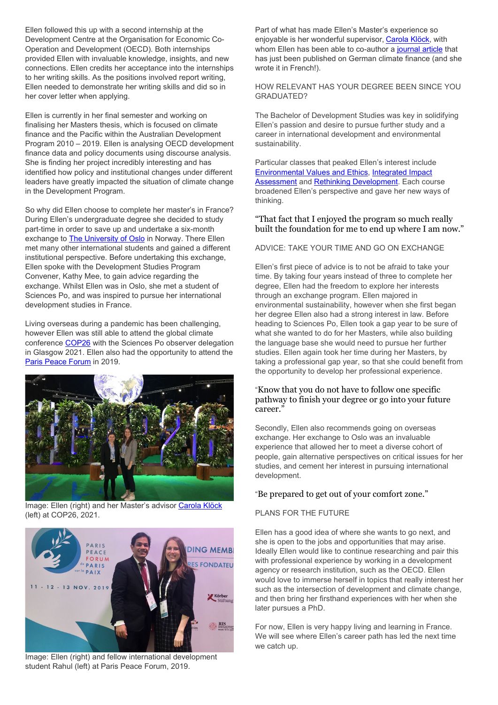Ellen followed this up with a second internship at the Development Centre at the Organisation for Economic Co-Operation and Development (OECD). Both internships provided Ellen with invaluable knowledge, insights, and new connections. Ellen credits her acceptance into the internships to her writing skills. As the positions involved report writing, Ellen needed to demonstrate her writing skills and did so in her cover letter when applying.

Ellen is currently in her final semester and working on finalising her Masters thesis, which is focused on climate finance and the Pacific within the Australian Development Program 2010 – 2019. Ellen is analysing OECD development finance data and policy documents using discourse analysis. She is finding her project incredibly interesting and has identified how policy and institutional changes under different leaders have greatly impacted the situation of climate change in the Development Program.

Living overseas during a pandemic has been challenging, however Ellen was still able to attend the global climate conference [COP26](https://ukcop26.org/) with the Sciences Po observer delegation in Glasgow 2021. Ellen also had the opportunity to attend the [Paris Peace Forum](https://parispeaceforum.org/en/) in 2019.



Image: Ellen (right) and her Master's advisor [Carola Klöck](https://www.sciencespo.fr/ceri/en/cerispire-user/30083/29642) (left) at COP26, 2021.

So why did Ellen choose to complete her master's in France? During Ellen's undergraduate degree she decided to study part-time in order to save up and undertake a six-month exchange to **The University of Oslo** in Norway. There Ellen met many other international students and gained a different institutional perspective. Before undertaking this exchange, Ellen spoke with the Development Studies Program Convener, Kathy Mee, to gain advice regarding the exchange. Whilst Ellen was in Oslo, she met a student of Sciences Po, and was inspired to pursue her international development studies in France.

Image: Ellen (right) and fellow international development student Rahul (left) at Paris Peace Forum, 2019.

Part of what has made Ellen's Master's experience so enjoyable is her wonderful supervisor, [Carola Klöck,](https://www.sciencespo.fr/ceri/en/cerispire-user/30083/29642) with whom Ellen has been able to co-author a [journal article](https://protect-au.mimecast.com/s/2uSbC6XQMEu37B5pTpQJo9?domain=cairn.info) that has just been published on German climate finance (and she wrote it in French!).

#### HOW RELEVANT HAS YOUR DEGREE BEEN SINCE YOU GRADUATED?

The Bachelor of Development Studies was key in solidifying Ellen's passion and desire to pursue further study and a career in international development and environmental sustainability.

Particular classes that peaked Ellen's interest include [Environmental Values and Ethics,](https://www.newcastle.edu.au/course/ENVS1003) [Integrated Impact](https://www.newcastle.edu.au/course/ENVS3001)  [Assessment](https://www.newcastle.edu.au/course/ENVS3001) and [Rethinking Development.](https://www.newcastle.edu.au/course/GEOG3300) Each course broadened Ellen's perspective and gave her new ways of thinking.

#### "That fact that I enjoyed the program so much really built the foundation for me to end up where I am now."

#### ADVICE: TAKE YOUR TIME AND GO ON EXCHANGE

Ellen's first piece of advice is to not be afraid to take your time. By taking four years instead of three to complete her degree, Ellen had the freedom to explore her interests through an exchange program. Ellen majored in environmental sustainability, however when she first began her degree Ellen also had a strong interest in law. Before heading to Sciences Po, Ellen took a gap year to be sure of what she wanted to do for her Masters, while also building the language base she would need to pursue her further studies. Ellen again took her time during her Masters, by taking a professional gap year, so that she could benefit from the opportunity to develop her professional experience.

#### "Know that you do not have to follow one specific pathway to finish your degree or go into your future career."

Secondly, Ellen also recommends going on overseas exchange. Her exchange to Oslo was an invaluable experience that allowed her to meet a diverse cohort of people, gain alternative perspectives on critical issues for her studies, and cement her interest in pursuing international development.

## "Be prepared to get out of your comfort zone."

## PLANS FOR THE FUTURE

Ellen has a good idea of where she wants to go next, and she is open to the jobs and opportunities that may arise. Ideally Ellen would like to continue researching and pair this with professional experience by working in a development agency or research institution, such as the OECD. Ellen would love to immerse herself in topics that really interest her such as the intersection of development and climate change, and then bring her firsthand experiences with her when she later pursues a PhD.



For now, Ellen is very happy living and learning in France. We will see where Ellen's career path has led the next time we catch up.